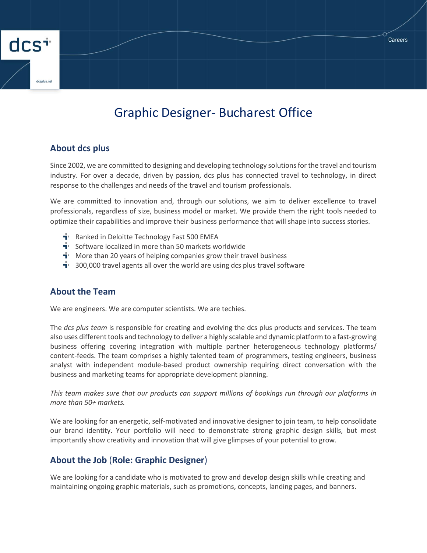# Graphic Designer- Bucharest Office

**Careers** 

### **About dcs plus**

dcs<sup>+</sup>

Since 2002, we are committed to designing and developing technology solutions for the travel and tourism industry. For over a decade, driven by passion, dcs plus has connected travel to technology, in direct response to the challenges and needs of the travel and tourism professionals.

We are committed to innovation and, through our solutions, we aim to deliver excellence to travel professionals, regardless of size, business model or market. We provide them the right tools needed to optimize their capabilities and improve their business performance that will shape into success stories.

- **F** Ranked in Deloitte Technology Fast 500 EMEA
- $\mathbf{F}$  Software localized in more than 50 markets worldwide
- $\mathbf{F}$  More than 20 years of helping companies grow their travel business
- $\mathbf{\dot{a}}$  300,000 travel agents all over the world are using dcs plus travel software

## **About the Team**

We are engineers. We are computer scientists. We are techies.

The *dcs plus team* is responsible for creating and evolving the dcs plus products and services. The team also uses different tools and technology to deliver a highly scalable and dynamic platform to a fast-growing business offering covering integration with multiple partner heterogeneous technology platforms/ content-feeds. The team comprises a highly talented team of programmers, testing engineers, business analyst with independent module-based product ownership requiring direct conversation with the business and marketing teams for appropriate development planning.

*This team makes sure that our products can support millions of bookings run through our platforms in more than 50+ markets.*

We are looking for an energetic, self-motivated and innovative designer to join team, to help consolidate our brand identity. Your portfolio will need to demonstrate strong graphic design skills, but most importantly show creativity and innovation that will give glimpses of your potential to grow.

## **About the Job** (**Role: Graphic Designer**)

We are looking for a candidate who is motivated to grow and develop design skills while creating and maintaining ongoing graphic materials, such as promotions, concepts, landing pages, and banners.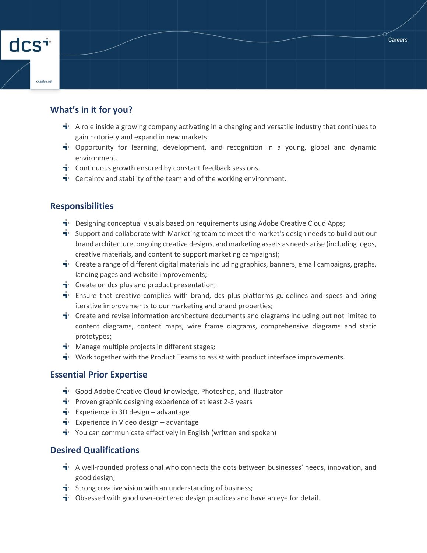# **What's in it for you?**

dcs<sup>+</sup>

- $\mathbf{\dot{a}}$  A role inside a growing company activating in a changing and versatile industry that continues to gain notoriety and expand in new markets.
- $\mathbf{I}$  Opportunity for learning, development, and recognition in a young, global and dynamic environment.
- $\mathbf{\dot{a}}$  Continuous growth ensured by constant feedback sessions.
- $\mathbf{\dot{a}}$  Certainty and stability of the team and of the working environment.

## **Responsibilities**

- $\mathbf{I}^*$  Designing conceptual visuals based on requirements using Adobe Creative Cloud Apps;
- $\mathbf{I}$  Support and collaborate with Marketing team to meet the market's design needs to build out our brand architecture, ongoing creative designs, and marketing assets as needs arise (including logos, creative materials, and content to support marketing campaigns);
- **T** Create a range of different digital materials including graphics, banners, email campaigns, graphs, landing pages and website improvements;
- $\mathbf{\dot{a}}$  Create on dcs plus and product presentation;
- $\mathbf{\dot{a}}$  Ensure that creative complies with brand, dcs plus platforms guidelines and specs and bring iterative improvements to our marketing and brand properties;
- $\mathbf{F}$  Create and revise information architecture documents and diagrams including but not limited to content diagrams, content maps, wire frame diagrams, comprehensive diagrams and static prototypes;
- $\mathbf{H}$  Manage multiple projects in different stages;
- $\mathbf{\dot{a}}$  Work together with the Product Teams to assist with product interface improvements.

#### **Essential Prior Expertise**

- $\mathbf{\dot{a}}$  Good Adobe Creative Cloud knowledge, Photoshop, and Illustrator
- $\mathbf{\dot{a}}$  Proven graphic designing experience of at least 2-3 years
- **T** Experience in 3D design advantage
- **T** Experience in Video design advantage
- $\mathbf{\dot{a}}$  You can communicate effectively in English (written and spoken)

#### **Desired Qualifications**

- **T** A well-rounded professional who connects the dots between businesses' needs, innovation, and good design;
- $\mathbf{\dot{a}}$  Strong creative vision with an understanding of business;
- $\mathbf{\dot{a}}$  Obsessed with good user-centered design practices and have an eye for detail.